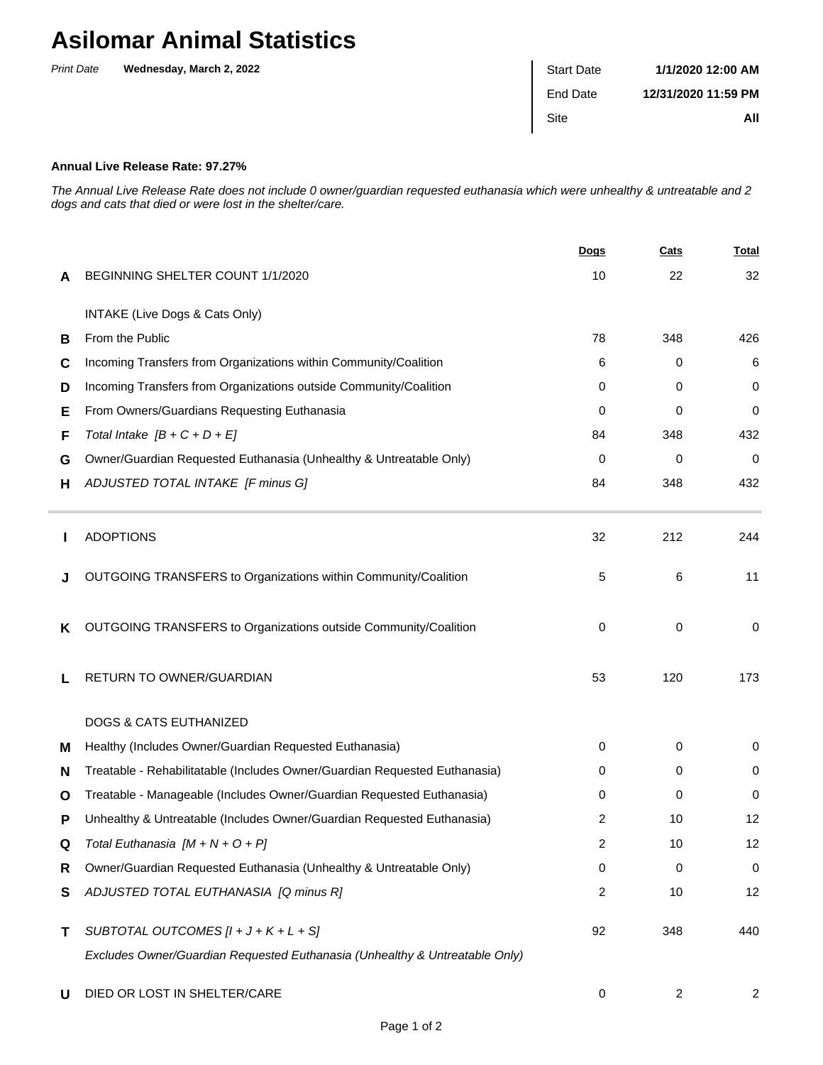## **Asilomar Animal Statistics**

| <b>Print Date</b> | Wednesday, March 2, 2022 | <b>Start Date</b> | 1/1/2020 12:00 AM   |
|-------------------|--------------------------|-------------------|---------------------|
|                   |                          | End Date          | 12/31/2020 11:59 PM |
|                   |                          | Site              | All                 |
|                   |                          |                   |                     |

## **Annual Live Release Rate: 97.27%**

The Annual Live Release Rate does not include 0 owner/guardian requested euthanasia which were unhealthy & untreatable and 2 dogs and cats that died or were lost in the shelter/care.

|   |                                                                             | Dogs | Cats | <b>Total</b>   |
|---|-----------------------------------------------------------------------------|------|------|----------------|
| A | BEGINNING SHELTER COUNT 1/1/2020                                            | 10   | 22   | 32             |
|   | INTAKE (Live Dogs & Cats Only)                                              |      |      |                |
| в | From the Public                                                             | 78   | 348  | 426            |
| C | Incoming Transfers from Organizations within Community/Coalition            | 6    | 0    | 6              |
| D | Incoming Transfers from Organizations outside Community/Coalition           | 0    | 0    | 0              |
| Ε | From Owners/Guardians Requesting Euthanasia                                 | 0    | 0    | 0              |
| F | Total Intake $[B + C + D + E]$                                              | 84   | 348  | 432            |
| G | Owner/Guardian Requested Euthanasia (Unhealthy & Untreatable Only)          | 0    | 0    | 0              |
| н | ADJUSTED TOTAL INTAKE [F minus G]                                           | 84   | 348  | 432            |
|   | <b>ADOPTIONS</b>                                                            | 32   | 212  | 244            |
|   | OUTGOING TRANSFERS to Organizations within Community/Coalition              | 5    | 6    | 11             |
| K | OUTGOING TRANSFERS to Organizations outside Community/Coalition             | 0    | 0    | 0              |
|   | RETURN TO OWNER/GUARDIAN                                                    | 53   | 120  | 173            |
|   | <b>DOGS &amp; CATS EUTHANIZED</b>                                           |      |      |                |
| м | Healthy (Includes Owner/Guardian Requested Euthanasia)                      | 0    | 0    | 0              |
| N | Treatable - Rehabilitatable (Includes Owner/Guardian Requested Euthanasia)  | 0    | 0    | $\mathbf 0$    |
| O | Treatable - Manageable (Includes Owner/Guardian Requested Euthanasia)       | 0    | 0    | 0              |
| Р | Unhealthy & Untreatable (Includes Owner/Guardian Requested Euthanasia)      | 2    | 10   | 12             |
| Q | Total Euthanasia $[M + N + O + P]$                                          | 2    | 10   | 12             |
| R | Owner/Guardian Requested Euthanasia (Unhealthy & Untreatable Only)          | 0    | 0    | $\mathbf 0$    |
| S | ADJUSTED TOTAL EUTHANASIA [Q minus R]                                       | 2    | 10   | 12             |
| Τ | SUBTOTAL OUTCOMES $[I + J + K + L + S]$                                     | 92   | 348  | 440            |
|   | Excludes Owner/Guardian Requested Euthanasia (Unhealthy & Untreatable Only) |      |      |                |
| U | DIED OR LOST IN SHELTER/CARE                                                | 0    | 2    | $\overline{2}$ |